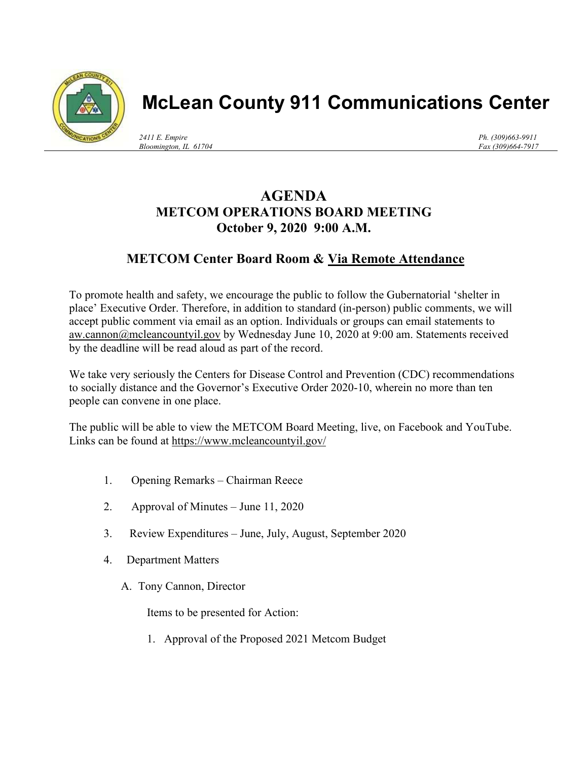

## **McLean County 911 Communications Center**

*2411 E. Empire Bloomington, IL 61704* *Ph. (309)663-9911 Fax (309)664-7917*

## **AGENDA METCOM OPERATIONS BOARD MEETING October 9, 2020 9:00 A.M.**

## **METCOM Center Board Room & Via Remote Attendance**

To promote health and safety, we encourage the public to follow the Gubernatorial 'shelter in place' Executive Order. Therefore, in addition to standard (in-person) public comments, we will accept public comment via email as an option. Individuals or groups can email statements to aw.cannon@mcleancountyil.gov by Wednesday June 10, 2020 at 9:00 am. Statements received by the deadline will be read aloud as part of the record.

We take very seriously the Centers for Disease Control and Prevention (CDC) recommendations to socially distance and the Governor's Executive Order 2020-10, wherein no more than ten people can convene in one place.

The public will be able to view the METCOM Board Meeting, live, on Facebook and YouTube. Links can be found at https://www.mcleancountyil.gov/

- 1. Opening Remarks Chairman Reece
- 2. Approval of Minutes June 11, 2020
- 3. Review Expenditures June, July, August, September 2020
- 4. Department Matters
	- A. Tony Cannon, Director

Items to be presented for Action:

1. Approval of the Proposed 2021 Metcom Budget